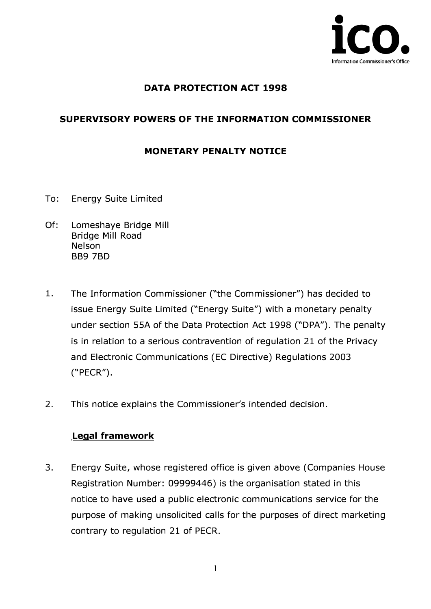

### **DATA PROTECTION ACT 1998**

### **SUPERVISORY POWERS OF THE INFORMATION COMMISSIONER**

#### **MONETARY PENALTY NOTICE**

- To: Energy Suite Limited
- Of: Lomeshaye Bridge Mill Bridge Mill Road Nelson BB9 7BD
- 1. The Information Commissioner ("the Commissioner") has decided to issue Energy Suite Limited ("Energy Suite") with a monetary penalty under section SSA of the Data Protection Act 1998 ("DPA"). The penalty is in relation to a serious contravention of regulation 21 of the Privacy and Electronic Communications (EC Directive) Regulations 2003 ("PECR").
- 2. This notice explains the Commissioner's intended decision.

#### **Legal framework**

3. Energy Suite, whose registered office is given above (Companies House Registration Number: 09999446) is the organisation stated in this notice to have used a public electronic communications service for the purpose of making unsolicited calls for the purposes of direct marketing contrary to regulation 21 of PECR.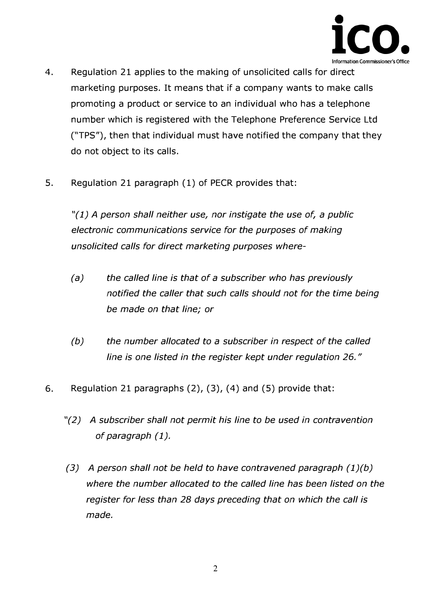

- **4. Regulation 21 applies to the making of unsolicited calls for direct marketing purposes. It means that if a company wants to make calls promoting a product or service to an individual who has a telephone number which is registered with the Telephone Preference Service Ltd ("TPS"), then that individual must have notified the company that they do not object to its calls.**
- **5. Regulation 21 paragraph (1) of PECR provides that:**

*"(1) A person shall neither use, nor instigate the use of, a public electronic communications service for the purposes of making unsolicited calls for direct marketing purposes where-*

- *(a) the called line is that of a subscriber who has previously*  notified the caller that such calls should not for the time being *be made on that line; or*
- *(b) the number allocated to a subscriber in respect of the called line is one listed in the register kept under regulation* **26. "**
- **6. Regulation 21 paragraphs (2), (3), (4) and (5) provide that:** 
	- *"(2) A subscriber shall not permit his line to be used in contravention of paragraph (1).*
	- *(3) A person shall not be held to have contravened paragraph (1)(b) where the number allocated to the called line has been listed on the register for less than 28 days preceding that on which the call is made.*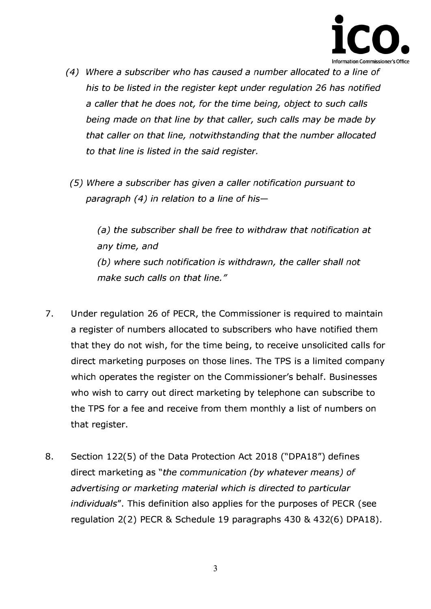

- *(4) Where a subscriber who has caused a number allocated to a line of his to be listed in the register kept under regulation* 26 *has notified a caller that he does not, for the time being, object to such calls being made on that line by that caller, such calls may be made by that caller on that line, notwithstanding that the number allocated to that line is listed in the said register.*
- *(5) Where a subscriber has given a caller notification pursuant to paragraph ( 4) in relation to a line of his-*

*(a) the subscriber shall be free to withdraw that notification at any time, and (b) where such notification is withdrawn, the caller shall not make such calls on that line. "* 

- **7. Under regulation 26 of PECR, the Commissioner is required to maintain a register of numbers allocated to subscribers who have notified them that they do not wish, for the time being, to receive unsolicited calls for direct marketing purposes on those lines. The TPS is a limited company which operates the register on the Commissioner's behalf. Businesses who wish to carry out direct marketing by telephone can subscribe to the TPS for a fee and receive from them monthly a list of numbers on that register.**
- **8. Section 122(5) of the Data Protection Act 2018 ("DPA18") defines direct marketing as** *"the communication (by whatever means) of advertising or marketing material which is directed to particular individuals".* **This definition also applies for the purposes of PECR (see regulation 2(2) PECR** & **Schedule 19 paragraphs 430** & **432(6) DPA18).**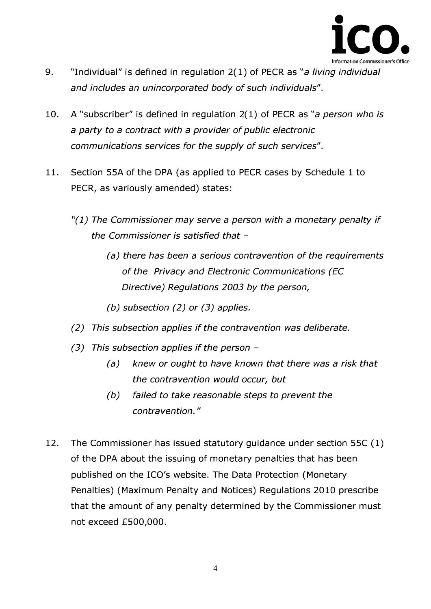

- **9. "Individual" is defined in regulation 2(1) of PECR as** *"a living individual and includes an unincorporated body of such individuals".*
- **10. A "subscriber" is defined in regulation 2(1) of PECR as** *"a person who is a party to a contract with a provider of public electronic communications services for the supply of such services".*
- **11. Section SSA of the DPA (as applied to PECR cases by Schedule 1 to PECR, as variously amended) states:** 
	- *"(1) The Commissioner may serve a person with a monetary penalty if the Commissioner is satisfied that* -
		- *(a) there has been a serious contravention of the requirements of the Privacy and Electronic Communications (EC Directive) Regulations 2003 by the person,*
		- *(b) subsection (2) or (3) applies.*
	- *(2) This subsection applies if the contravention was deliberate.*
	- *(3) This subsection applies if the person* 
		- *(a) knew or ought to have known that there was a risk that the contravention would occur, but*
		- *(b) failed to take reasonable steps to prevent the contravention. "*
- **12. The Commissioner has issued statutory guidance under section SSC (1) of the DPA about the issuing of monetary penalties that has been published on the ICO's website. The Data Protection (Monetary Penalties) (Maximum Penalty and Notices) Regulations 2010 prescribe that the amount of any penalty determined by the Commissioner must not exceed fS00,000.**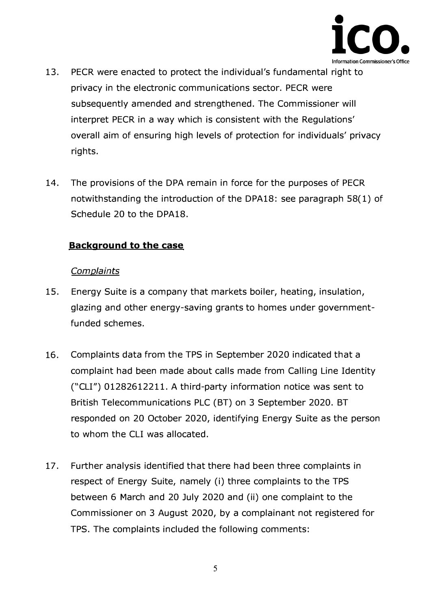

- **13. PECR were enacted to protect the individual's fundamental right to privacy in the electronic communications sector. PECR were subsequently amended and strengthened. The Commissioner will interpret PECR in a way which is consistent with the Regulations' overall aim of ensuring high levels of protection for individuals' privacy rights.**
- **14. The provisions of the DPA remain in force for the purposes of PECR notwithstanding the introduction of the DPA18: see paragraph 58(1) of Schedule 20 to the DPA18.**

#### **Background to the case**

#### *Complaints*

- **15. Energy Suite is a company that markets boiler, heating, insulation, glazing and other energy-saving grants to homes under governmentfunded schemes.**
- **16. Complaints data from the TPS in September 2020 indicated that a complaint had been made about calls made from Calling Line Identity ("CLI") 01282612211. A third-party information notice was sent to British Telecommunications PLC (BT) on 3 September 2020. BT responded on 20 October 2020, identifying Energy Suite as the person to whom the CLI was allocated.**
- **17. Further analysis identified that there had been three complaints in respect of Energy Suite, namely (i) three complaints to the TPS between 6 March and 20 July 2020 and (ii) one complaint to the Commissioner on 3 August 2020, by a complainant not registered for TPS. The complaints included the following comments:**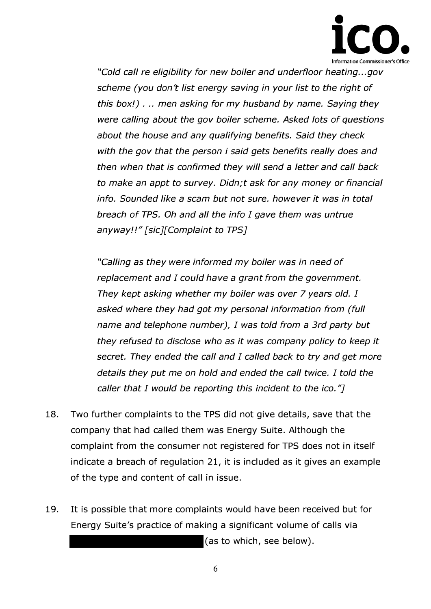

*"Cold call re eligibility for new boiler and underfloor heating ... gov scheme (you don't list energy saving in your list to the right of this box!)* . .. *men asking for my husband by name. Saying they were calling about the gov boiler scheme. Asked lots of questions about the house and any qualifying benefits. Said they check with the gov that the person i said gets benefits really does and then when that is confirmed they will send a letter and call back to make an appt to survey. Didn;t ask for any money or financial info. Sounded like a scam but not sure. however it was in total breach of TPS. Oh and all the info I gave them was untrue anyway!!" [sic][Complaint to TPS]* 

*"Calling as they were informed my boiler was in need of replacement and I could have a grant from the government. They kept asking whether my boiler was over* 7 *years old. I asked where they had got my personal information from (full name and telephone number), I was told from a 3rd party but they refused to disclose who as it was company policy to keep it secret. They ended the call and I called back to try and get more details they put me on hold and ended the call twice. I told the caller that I would be reporting this incident to the ico.* '7

- **18. Two further complaints to the TPS did not give details, save that the company that had called them was Energy Suite. Although the complaint from the consumer not registered for TPS does not in itself indicate a breach of regulation 21, it is included as it gives an example of the type and content of call in issue.**
- **19. It is possible that more complaints would have been received but for Energy Suite's practice of making a significant volume of calls via (as to which, see below).**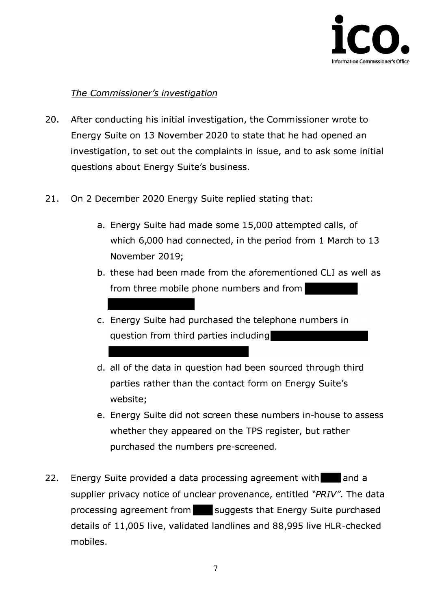

### *The Commissioner's investigation*

- **20. After conducting his initial investigation, the Commissioner wrote to Energy Suite on 13 November 2020 to state that he had opened an investigation, to set out the complaints in issue, and to ask some initial questions about Energy Suite's business.**
- **21. On 2 December 2020 Energy Suite replied stating that:** 
	- **a. Energy Suite had made some 15,000 attempted calls, of which 6,000 had connected, in the period from 1 March to 13 November 2019;**
	- **b. these had been made from the aforementioned CLI as well as from three mobile phone numbers and from**
	- **c. Energy Suite had purchased the telephone numbers in question from third parties including**
	- **d. all of the data in question had been sourced through third parties rather than the contact form on Energy Suite's website;**
	- **e. Energy Suite did not screen these numbers in-house to assess whether they appeared on the TPS register, but rather purchased the numbers pre-screened.**
- **22. Energy Suite provided a data processing agreement with 1111and a supplier privacy notice of unclear provenance, entitled** *"PRIV".* **The data processing agreement from suggests that Energy Suite purchased details of 11,005 live, validated landlines and 88,995 live HLR-checked mobiles.**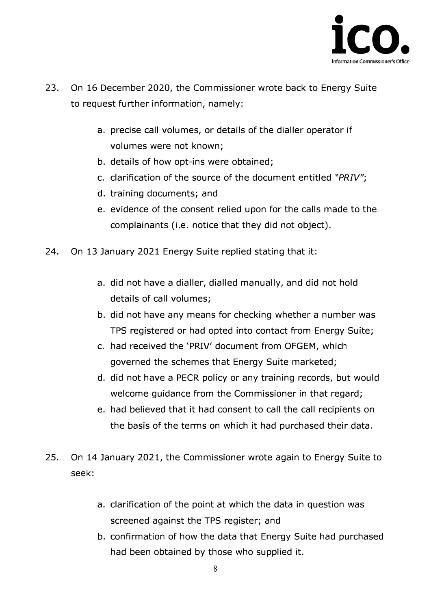

- **23. On 16 December 2020, the Commissioner wrote back to Energy Suite to request further information, namely:** 
	- **a. precise call volumes, or details of the dialler operator if volumes were not known;**
	- **b. details of how opt-ins were obtained;**
	- **c. clarification of the source of the document entitled** *"PRIV";*
	- **d. training documents; and**
	- **e. evidence of the consent relied upon for the calls made to the complainants (i.e. notice that they did not object).**
- **24. On 13 January 2021 Energy Suite replied stating that it:** 
	- **a. did not have a dialler, dialled manually, and did not hold details of call volumes;**
	- **b. did not have any means for checking whether a number was TPS registered or had opted into contact from Energy Suite;**
	- **c. had received the 'PRIV' document from OFGEM, which governed the schemes that Energy Suite marketed;**
	- **d. did not have a PECR policy or any training records, but would welcome guidance from the Commissioner in that regard;**
	- **e. had believed that it had consent to call the call recipients on the basis of the terms on which it had purchased their data.**
- **25. On 14 January 2021, the Commissioner wrote again to Energy Suite to seek:** 
	- **a. clarification of the point at which the data in question was screened against the TPS register; and**
	- **b. confirmation of how the data that Energy Suite had purchased had been obtained by those who supplied it.**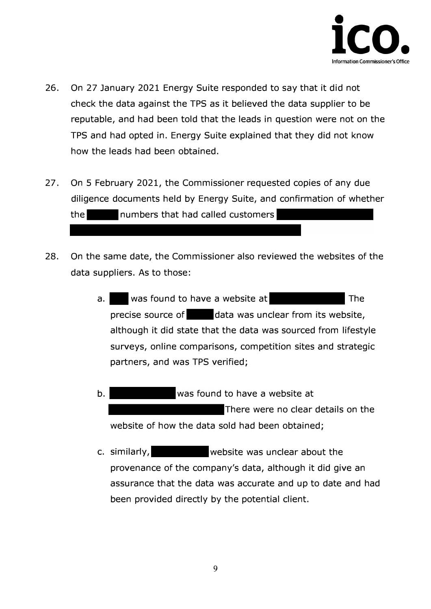

- **26. On 27 January 2021 Energy Suite responded to say that it did not check the data against the TPS as it believed the data supplier to be reputable, and had been told that the leads in question were not on the TPS and had opted in. Energy Suite explained that they did not know how the leads had been obtained.**
- **27. On 5 February 2021, the Commissioner requested copies of any due diligence documents held by Energy Suite, and confirmation of whether the -numbers that had called customers**
- **28. On the same date, the Commissioner also reviewed the websites of the data suppliers. As to those:** 
	- **a.** Was found to have a website at **precise source of data was unclear from its website, although it did state that the data was sourced from lifestyle surveys, online comparisons, competition sites and strategic partners, and was TPS verified; The**
	- **There were no clear details on the website of how the data sold had been obtained; b. was found to have a website at**
	- **c. similarly, website was unclear about the provenance of the company's data, although it did give an assurance that the data was accurate and up to date and had been provided directly by the potential client.**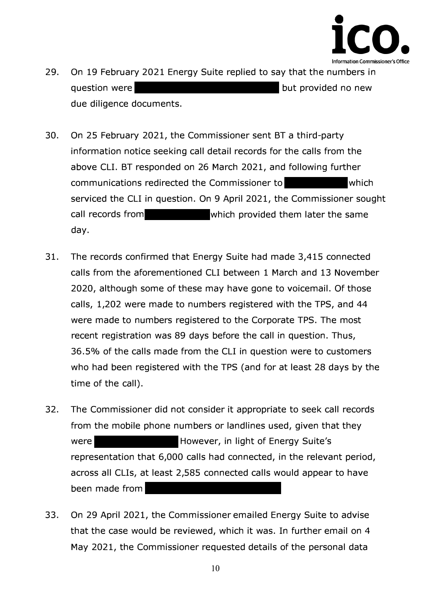

- **29.**  question were **but provided no new but provided no new due diligence documents. On 19 February 2021 Energy Suite replied to say that the numbers in**
- **30. On 25 February 2021, the Commissioner sent BT a third-party information notice seeking call detail records for the calls from the serviced the CLI in question. On 9 April 2021, the Commissioner sought call records from which provided them later the same day. above CLI. BT responded on 26 March 2021, and following further communications redirected the Commissioner to which**
- **31. The records confirmed that Energy Suite had made 3,415 connected calls from the aforementioned CLI between 1 March and 13 November 2020, although some of these may have gone to voicemail. Of those calls, 1,202 were made to numbers registered with the TPS, and 44 were made to numbers registered to the Corporate TPS. The most recent registration was 89 days before the call in question. Thus, 36.5% of the calls made from the CLI in question were to customers who had been registered with the TPS (and for at least 28 days by the time of the call).**
- **32. The Commissioner did not consider it appropriate to seek call records from the mobile phone numbers or landlines used, given that they However, in light of Energy Suite's representation that 6,000 calls had connected, in the relevant period, across all Clls, at least 2,585 connected calls would appear to have been made from were**
- **33. On 29 April 2021, the Commissioner emailed Energy Suite to advise that the case would be reviewed, which it was. In further email on 4 May 2021, the Commissioner requested details of the personal data**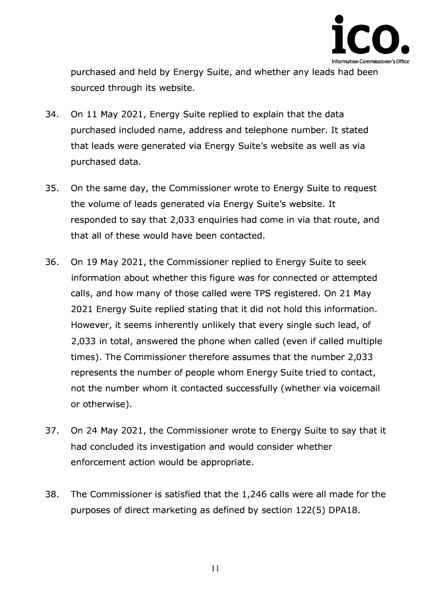

**purchased and held by Energy Suite, and whether any leads had been sourced through its website.** 

- **34. On 11 May 2021, Energy Suite replied to explain that the data purchased included name, address and telephone number. It stated that leads were generated via Energy Suite's website as well as via purchased data.**
- **35. On the same day, the Commissioner wrote to Energy Suite to request the volume of leads generated via Energy Suite's website. It responded to say that 2,033 enquiries had come in via that route, and that all of these would have been contacted.**
- **36. On 19 May 2021, the Commissioner replied to Energy Suite to seek information about whether this figure was for connected or attempted calls, and how many of those called were TPS registered. On 21 May 2021 Energy Suite replied stating that it did not hold this information. However, it seems inherently unlikely that every single such lead, of 2,033 in total, answered the phone when called ( even if called multiple times). The Commissioner therefore assumes that the number 2,033 represents the number of people whom Energy Suite tried to contact, not the nu***m***ber** *w***h***om i***t c***o***ntacted successfully (***w***hether v***i***a v***oi***ce***m***a***i***l**  *o***r** *o***ther***wi***se).**
- 37. On 24 May 2021, the Commissioner wrote to Energy Suite to say that it **had c***o***ncluded** *i***ts** *i***nvest***i***gat***io***n and** *wo***uld c***o***ns***i***der** *w***hether enf***o***rce***m***ent act***io***n** *wo***uld be appr***o***pr***i***ate.**
- 38. The Commissioner is satisfied that the 1,246 calls were all made for the **purp***o***ses** *o***f d***i***rect** *m***arket***i***ng as def***i***ned by sect***io***n 1***22***(5) DPA1***8***.**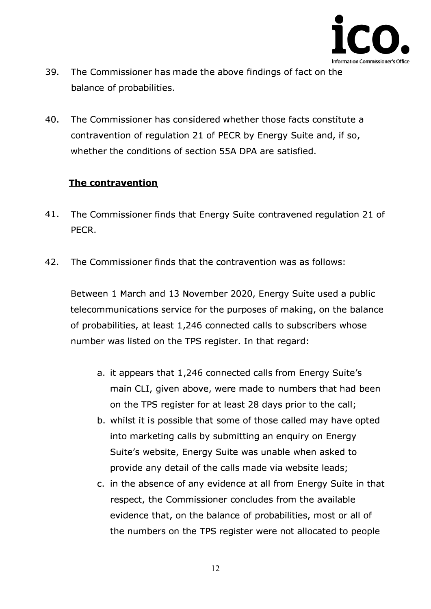

- **39. The Commissioner has made the above findings of fact on the balance of probabilities.**
- **40. The Commissioner has considered whether those facts constitute a contravention of regulation 21 of PECR by Energy Suite and, if so, whether the conditions of section SSA DPA are satisfied.**

## **The contravention**

- **41. The Commissioner finds that Energy Suite contravened regulation 21 of PECR.**
- **42. The Commissioner finds that the contravention was as follows:**

**Between 1 March and 13 November 2020, Energy Suite used a public telecommunications service for the purposes of making, on the balance of probabilities, at least 1,246 connected calls to subscribers whose number was listed on the TPS register. In that regard:** 

- **a. it appears that 1,246 connected calls from Energy Suite's main CLI, given above, were made to numbers that had been on the TPS register for at least 28 days prior to the call;**
- **b. whilst it is possible that some of those called may have opted into marketing calls by submitting an enquiry on Energy Suite's website, Energy Suite was unable when asked to provide any detail of the calls made via website leads;**
- **c. in the absence of any evidence at all from Energy Suite in that respect, the Commissioner concludes from the available evidence that, on the balance of probabilities, most or all of the numbers on the TPS register were not allocated to people**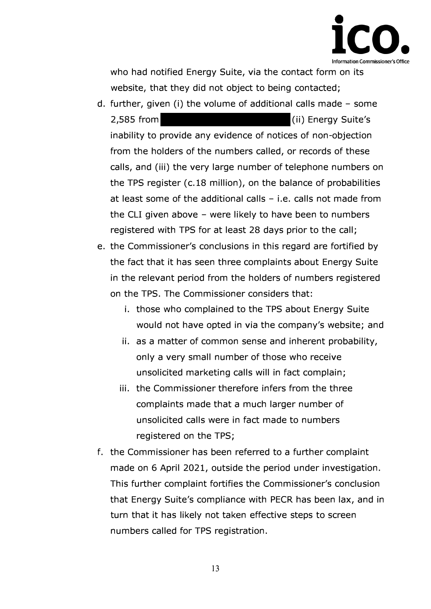

**who had notified Energy Suite, via the contact form on its website, that they did not object to being contacted;** 

- **d. further, given (i) the volume of additional calls made - some 2,585 from (ii) Energy Suite's inability to provide any evidence of notices of non-objection from the holders of the numbers called, or records of these calls, and (iii) the very large number of telephone numbers on the TPS register ( c.18 million), on the balance of probabilities at least some of the additional calls - i.e. calls not made from the CLI given above - were likely to have been to numbers registered with TPS for at least 28 days prior to the call;**
- **e. the Commissioner's conclusions in this regard are fortified by the fact that it has seen three complaints about Energy Suite in the relevant period from the holders of numbers registered on the TPS. The Commissioner considers that:** 
	- **i. those who complained to the TPS about Energy Suite would not have opted in via the company's website; and**
	- **ii. as a matter of common sense and inherent probability, only a very small number of those who receive unsolicited marketing calls will in fact complain;**
	- **iii. the Commissioner therefore infers from the three complaints made that a much larger number of unsolicited calls were in fact made to numbers registered on the TPS;**
- **f. the Commissioner has been referred to a further complaint made on 6 April 2021, outside the period under investigation. This further complaint fortifies the Commissioner's conclusion that Energy Suite's compliance with PECR has been lax, and in turn that it has likely not taken effective steps to screen numbers called for TPS registration.**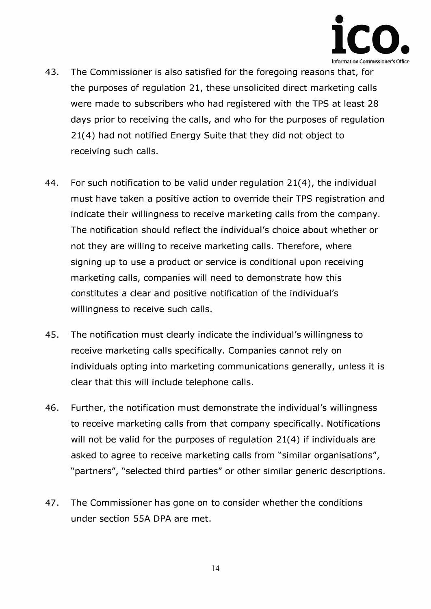

- **43. The Commissioner is also satisfied for the foregoing reasons that, for the purposes of regulation 21, these unsolicited direct marketing calls were made to subscribers who had registered with the TPS at least 28 days prior to receiving the calls, and who for the purposes of regulation 21( 4) had not notified Energy Suite that they did not object to receiving such calls.**
- **44. For such notification to be valid under regulation 21(4), the individual must have taken a positive action to override their TPS registration and indicate their willingness to receive marketing calls from the company. The notification should reflect the individual's choice about whether or not they are willing to receive marketing calls. Therefore, where signing up to use a product or service is conditional upon receiving marketing calls, companies will need to demonstrate how this constitutes a clear and positive notification of the individual's willingness to receive such calls.**
- **45. The notification must clearly indicate the individual's willingness to receive marketing calls specifically. Companies cannot rely on individuals opting into marketing communications generally, unless it is clear that this will include telephone calls.**
- **46. Further, the notification must demonstrate the individual's willingness to receive marketing calls from that company specifically. Notifications will not be valid for the purposes of regulation 21(4) if individuals are asked to agree to receive marketing calls from "similar organisations", "partners", "selected third parties" or other similar generic descriptions.**
- **47. The Commissioner has gone on to consider whether the conditions under section SSA DPA are met.**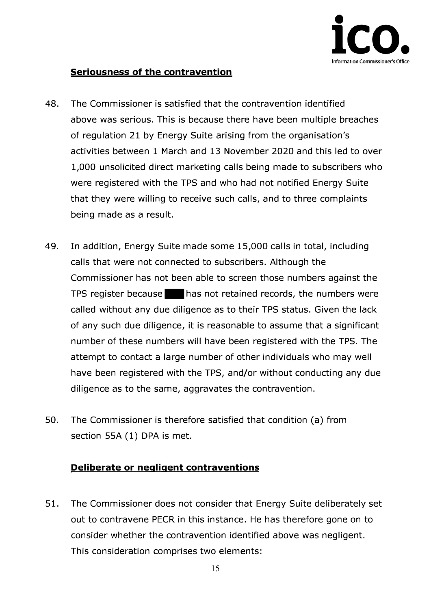

## **Seriousness of the contravention**

- **48. The Commissioner is satisfied that the contravention identified above was serious. This is because there have been multiple breaches of regulation 21 by Energy Suite arising from the organisation's activities between 1 March and 13 November 2020 and this led to over 1,000 unsolicited direct marketing calls being made to subscribers who were registered with the TPS and who had not notified Energy Suite that they were willing to receive such calls, and to three complaints being made as a result.**
- **49. In addition, Energy Suite made some 15,000 calls in total, including calls that were not connected to subscribers. Although the Commissioner has not been able to screen those numbers against the TPS register because 1111has not retained records, the numbers were called without any due diligence as to their TPS status. Given the lack of any such due diligence, it is reasonable to assume that a significant number of these numbers will have been registered with the TPS. The attempt to contact a large number of other individuals who may well have been registered with the TPS, and/or without conducting any due diligence as to the same, aggravates the contravention.**
- **50. The Commissioner is therefore satisfied that condition (a) from section SSA (1) DPA is met.**

## **Deliberate or negligent contraventions**

**51. The Commissioner does not consider that Energy Suite deliberately set out to contravene PECR in this instance. He has therefore gone on to consider whether the contravention identified above was negligent. This consideration comprises two elements:**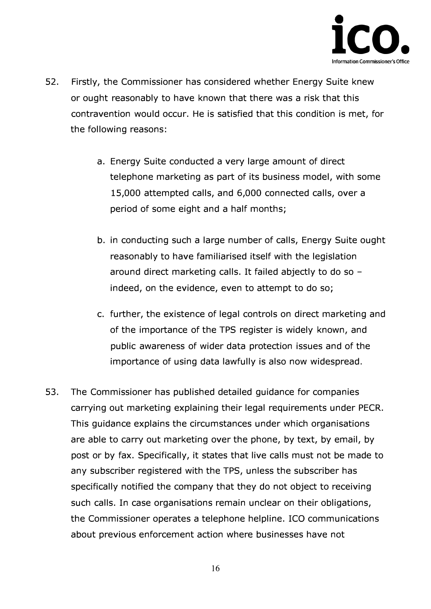

- **52. Firstly, the Commissioner has considered whether Energy Suite knew or ought reasonably to have known that there was a risk that this contravention would occur. He is satisfied that this condition is met, for the following reasons:** 
	- **a. Energy Suite conducted a very large amount of direct telephone marketing as part of its business model, with some 15,000 attempted calls, and 6,000 connected calls, over a period of some eight and a half months;**
	- **b. in conducting such a large number of calls, Energy Suite ought reasonably to have familiarised itself with the legislation around direct marketing calls. It failed abjectly to do so indeed, on the evidence, even to attempt to do so;**
	- **c. further, the existence of legal controls on direct marketing and of the importance of the TPS register is widely known, and public awareness of wider data protection issues and of the importance of using data lawfully is also now widespread.**
- **53. The Commissioner has published detailed guidance for companies carrying out marketing explaining their legal requirements under PECR. This guidance explains the circumstances under which organisations are able to carry out marketing over the phone, by text, by email, by post or by fax. Specifically, it states that live calls must not be made to any subscriber registered with the TPS, unless the subscriber has specifically notified the company that they do not object to receiving such calls. In case organisations remain unclear on their obligations, the Commissioner operates a telephone helpline. ICO communications about previous enforcement action where businesses have not**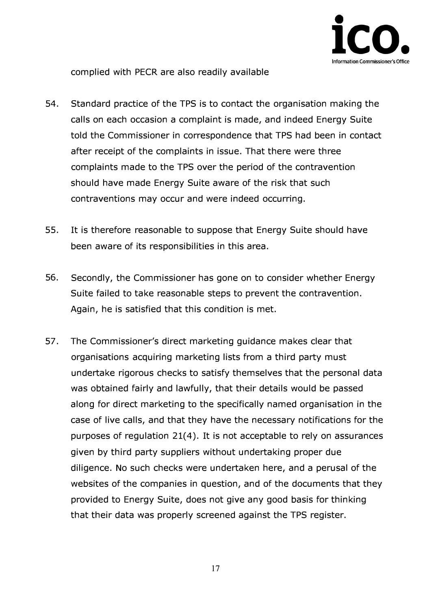

**complied with PECR are also readily available** 

- **54. Standard practice of the TPS is to contact the organisation making the calls on each occasion a complaint is made, and indeed Energy Suite told the Commissioner in correspondence that TPS had been in contact after receipt of the complaints in issue. That there were three complaints made to the TPS over the period of the contravention should have made Energy Suite aware of the risk that such contraventions may occur and were indeed occurring.**
- **55. It is therefore reasonable to suppose that Energy Suite should have been aware of its responsibilities in this area.**
- **56. Secondly, the Commissioner has gone on to consider whether Energy Suite failed to take reasonable steps to prevent the contravention. Again, he is satisfied that this condition is met.**
- **57. The Commissioner's direct marketing guidance makes clear that organisations acquiring marketing lists from a third party must undertake rigorous checks to satisfy themselves that the personal data was obtained fairly and lawfully, that their details would be passed along for direct marketing to the specifically named organisation in the case of live calls, and that they have the necessary notifications for the purposes of regulation 21(4). It is not acceptable to rely on assurances given by third party suppliers without undertaking proper due diligence. No such checks were undertaken here, and a perusal of the websites of the companies in question, and of the documents that they provided to Energy Suite, does not give any good basis for thinking that their data was properly screened against the TPS register.**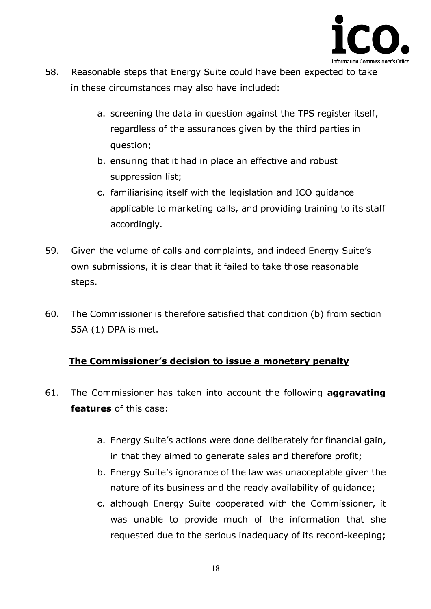

- **58. Reasonable steps that Energy Suite could have been expected to take in these circumstances may also have included:** 
	- **a. screening the data in question against the TPS register itself, regardless of the assurances given by the third parties in question;**
	- **b. ensuring that it had in place an effective and robust suppression list;**
	- **c. familiarising itself with the legislation and ICO guidance applicable to marketing calls, and providing training to its staff accordingly.**
- **59. Given the volume of calls and complaints, and indeed Energy Suite's own submissions, it is clear that it failed to take those reasonable steps.**
- **60. The Commissioner is therefore satisfied that condition (b) from section SSA (1) DPA is met.**

# **The Commissioner's decision to issue a monetary penalty**

- **61. The Commissioner has taken into account the following aggravating features of this case:** 
	- **a. Energy Suite's actions were done deliberately for financial gain, in that they aimed to generate sales and therefore profit;**
	- **b. Energy Suite's ignorance of the law was unacceptable given the nature of its business and the ready availability of guidance;**
	- **c. although Energy Suite cooperated with the Commissioner, it was unable to provide much of the information that she requested due to the serious inadequacy of its record-keeping;**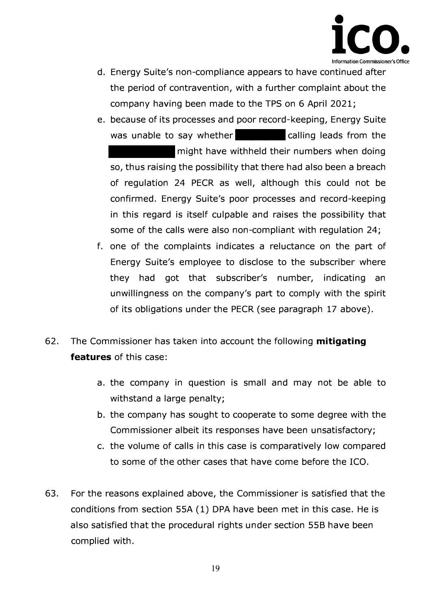

- **d. Energy Suite's non-compliance appears to have continued after the period of contravention, with a further complaint about the company having been made to the TPS on 6 April 2021;**
- **e. because of its processes and poor record-keeping, Energy Suite**  was unable to say whether **calling leads from the**

**might have withheld their numbers when doing so, thus raising the possibility that there had also been a breach of regulation 24 PECR as well, although this could not be confirmed. Energy Suite's poor processes and record-keeping in this regard is itself culpable and raises the possibility that some of the calls were also non-compliant with regulation 24;** 

- **f. one of the complaints indicates a reluctance on the part of Energy Suite's employee to disclose to the subscriber where they had got that subscriber's number, indicating an unwillingness on the company's part to comply with the spirit of its obligations under the PECR (see paragraph 17 above).**
- **62. The Commissioner has taken into account the following mitigating features of this case:** 
	- **a. the company in question is small and may not be able to withstand a large penalty;**
	- **b. the company has sought to cooperate to some degree with the Commissioner albeit its responses have been unsatisfactory;**
	- **c. the volume of calls in this case is comparatively low compared to some of the other cases that have come before the ICO.**
- **63. For the reasons explained above, the Commissioner is satisfied that the conditions from section SSA (1) DPA have been met in this case. He is also satisfied that the procedural rights under section SSB have been complied with.**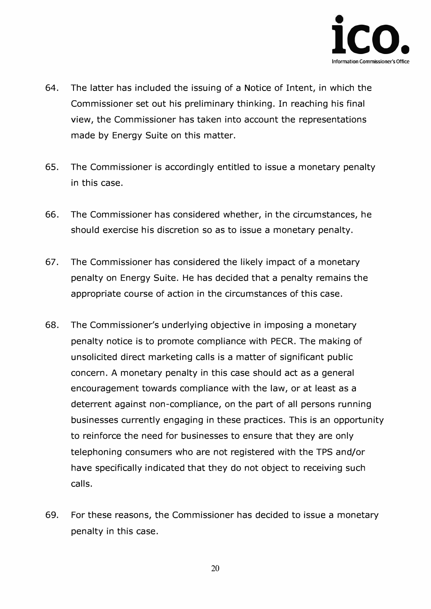

- **64. The latter has included the issuing of a Notice of Intent, in which the Commissioner set out his preliminary thinking. In reaching his final view, the Commissioner has taken into account the representations made by Energy Suite on this matter.**
- **65. The Commissioner is accordingly entitled to issue a monetary penalty in this case.**
- **66. The Commissioner has considered whether, in the circumstances, he should exercise his discretion so as to issue a monetary penalty.**
- **67. The Commissioner has considered the likely impact of a monetary penalty on Energy Suite. He has decided that a penalty remains the appropriate course of action in the circumstances of this case.**
- **68. The Commissioner's underlying objective in imposing a monetary penalty notice is to promote compliance with PECR. The making of unsolicited direct marketing calls is a matter of significant public concern. A monetary penalty in this case should act as a general encouragement towards compliance with the law, or at least as a deterrent against non-compliance, on the part of all persons running businesses currently engaging in these practices. This is an opportunity to reinforce the need for businesses to ensure that they are only telephoning consumers who are not registered with the TPS and/or have specifically indicated that they do not object to receiving such calls.**
- **69. For these reasons, the Commissioner has decided to issue a monetary penalty in this case.**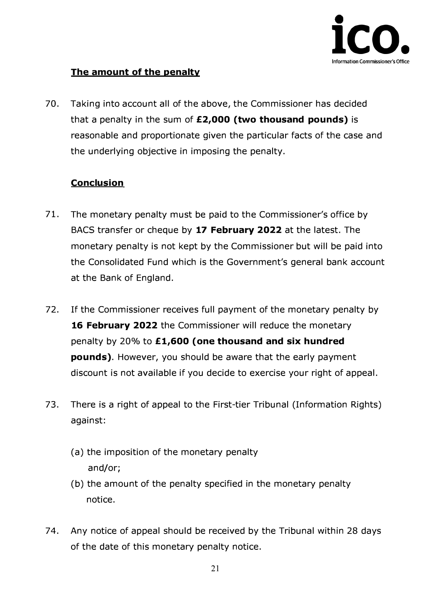

# **The amount of the penalty**

**70. Taking into account all of the above, the Commissioner has decided that a penalty in the sum of £2,000 (two thousand pounds) is reasonable and proportionate given the particular facts of the case and the underlying objective in imposing the penalty.** 

## **Conclusion**

- **71. The monetary penalty must be paid to the Commissioner's office by BACS transfer or cheque by 17 February 2022 at the latest. The monetary penalty is not kept by the Commissioner but will be paid into the Consolidated Fund which is the Government's general bank account at the Bank of England.**
- **72. If the Commissioner receives full payment of the monetary penalty by 16 February 2022 the Commissioner will reduce the monetary penalty by 20% to £ 1,600 (one thousand and six hundred pounds). However, you should be aware that the early payment discount is not available if you decide to exercise your right of appeal.**
- **73. There is a right of appeal to the First-tier Tribunal (Information Rights) against:** 
	- **(a) the imposition of the monetary penalty and/or;**
	- **(b) the amount of the penalty specified in the monetary penalty notice.**
- **74. Any notice of appeal should be received by the Tribunal within 28 days of the date of this monetary penalty notice.**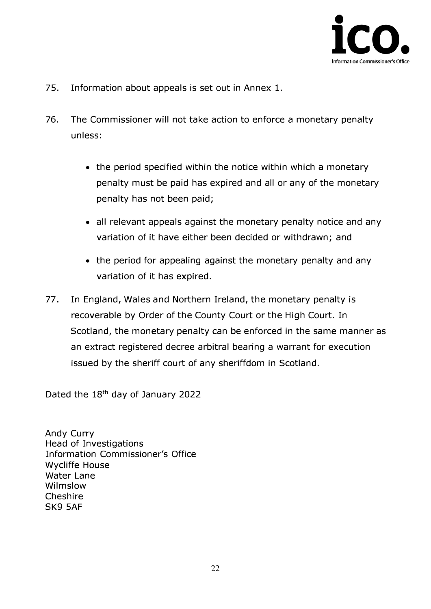

- **75. Information about appeals is set out in Annex 1.**
- **76. The Commissioner will not take action to enforce a monetary penalty unless:** 
	- **the period specified within the notice within which a monetary penalty must be paid has expired and all or any of the monetary penalty has not been paid;**
	- **all relevant appeals against the monetary penalty notice and any variation of it have either been decided or withdrawn; and**
	- **the period for appealing against the monetary penalty and any variation of it has expired.**
- **77. In England, Wales and Northern Ireland, the monetary penalty is recoverable by Order of the County Court or the High Court. In Scotland, the monetary penalty can be enforced in the same manner as an extract registered decree arbitral bearing a warrant for execution issued by the sheriff court of any sheriffdom in Scotland.**

**Dated the 18**th **day of January 2022** 

**Andy Curry Head of Investigations Information Commissioner's Office Wycliffe House Water Lane Wilmslow Cheshire SK9** SAF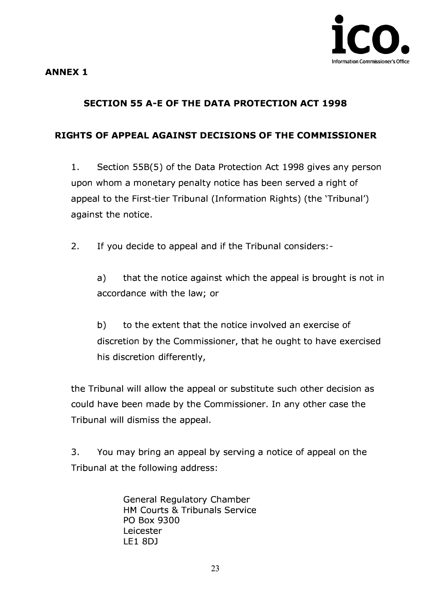

#### **ANNEX 1**

# **SECTION SS A-E OF THE DATA PROTECTION ACT 1998**

#### **RIGHTS OF APPEAL AGAINST DECISIONS OF THE COMMISSIONER**

**1. Section 55B(S) of the Data Protection Act 1998 gives any person upon whom a monetary penalty notice has been served a right of appeal to the First-tier Tribunal (Information Rights) (the 'Tribunal') against the notice.** 

**2. If you decide to appeal and if the Tribunal considers:-**

**a) that the notice against which the appeal is brought is not in accordance with the law; or** 

**b) to the extent that the notice involved an exercise of discretion by the Commissioner, that he ought to have exercised his discretion differently,** 

**the Tribunal will allow the appeal or substitute such other decision as could have been made by the Commissioner. In any other case the Tribunal will dismiss the appeal.** 

**3. You may bring an appeal by serving a notice of appeal on the Tribunal at the following address:** 

> **General Regulatory Chamber HM Courts & Tribunals Service PO Box 9300 Leicester LEl 8DJ**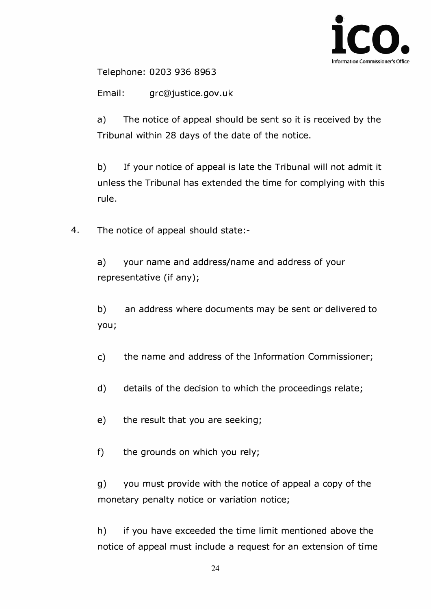

**Telephone: 0203 936 8963** 

**Email: grc@justice.gov.uk** 

**a) The notice of appeal should be sent so it is received by the Tribunal within 28 days of the date of the notice.** 

**b) If your notice of appeal is late the Tribunal will not admit it unless the Tribunal has extended the time for complying with this rule.** 

**4. The notice of appeal should state:-**

**a) your name and address/name and address of your representative (if any);** 

**b) an address where documents may be sent or delivered to you;** 

- **c) the name and address of the Information Commissioner;**
- **d) details of the decision to which the proceedings relate;**
- **e) the result that you are seeking;**
- **f) the grounds on which you rely;**

**g) you must provide with the notice of appeal a copy of the monetary penalty notice or variation notice;** 

**h) if you have exceeded the time limit mentioned above the notice of appeal must include a request for an extension of time**